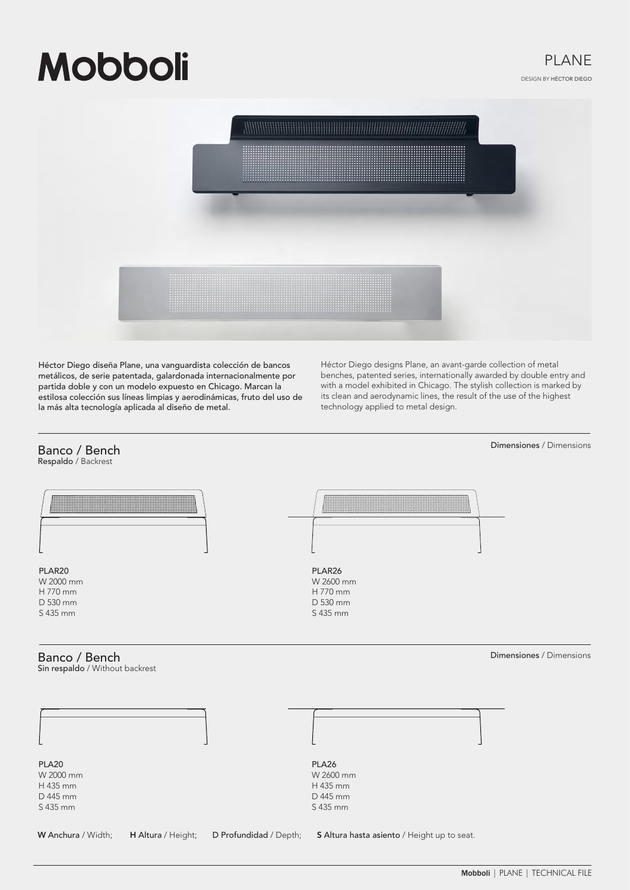# **Mobboli**



Héctor Diego diseña Plane, una vanguardista colección de bancos metálicos, de serie patentada, galardonada internacionalmente por partida doble y con un modelo expuesto en Chicago. Marcan la estilosa colección sus líneas limpias y aerodinámicas, fruto del uso de la más alta tecnología aplicada al diseño de metal.

Héctor Diego designs Plane, an avant-garde collection of metal benches, patented series, internationally awarded by double entry and with a model exhibited in Chicago. The stylish collection is marked by its clean and aerodynamic lines, the result of the use of the highest technology applied to metal design.

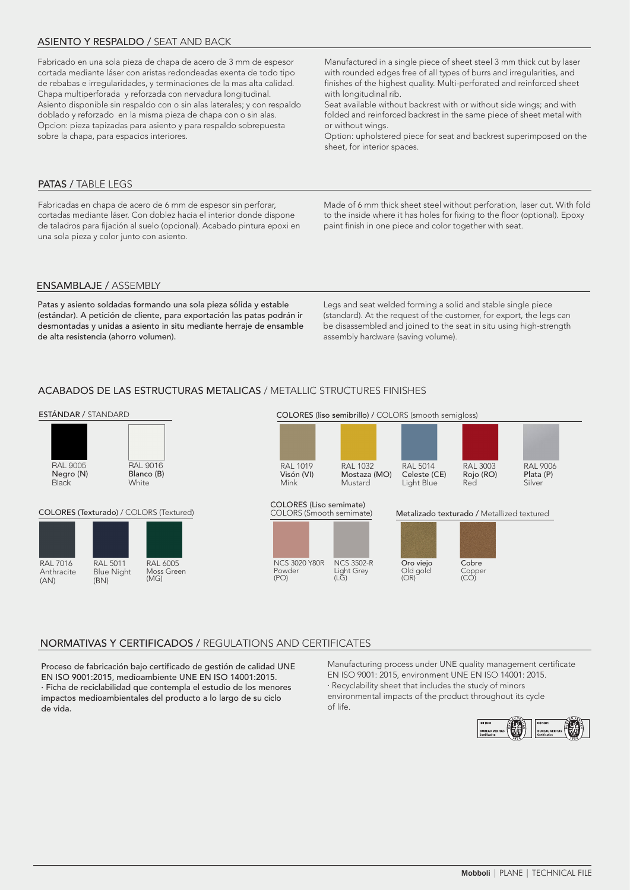## ASIENTO Y RESPALDO / SEAT AND BACK

Fabricado en una sola pieza de chapa de acero de 3 mm de espesor cortada mediante láser con aristas redondeadas exenta de todo tipo de rebabas e irregularidades, y terminaciones de la mas alta calidad. Chapa multiperforada y reforzada con nervadura longitudinal. Asiento disponible sin respaldo con o sin alas laterales; y con respaldo doblado y reforzado en la misma pieza de chapa con o sin alas. Opcion: pieza tapizadas para asiento y para respaldo sobrepuesta sobre la chapa, para espacios interiores.

Manufactured in a single piece of sheet steel 3 mm thick cut by laser with rounded edges free of all types of burrs and irregularities, and finishes of the highest quality. Multi-perforated and reinforced sheet with longitudinal rib.

Seat available without backrest with or without side wings; and with folded and reinforced backrest in the same piece of sheet metal with or without wings.

Option: upholstered piece for seat and backrest superimposed on the sheet, for interior spaces.

## PATAS / TABLE LEGS

Fabricadas en chapa de acero de 6 mm de espesor sin perforar, cortadas mediante láser. Con doblez hacia el interior donde dispone de taladros para fijación al suelo (opcional). Acabado pintura epoxi en una sola pieza y color junto con asiento.

Made of 6 mm thick sheet steel without perforation, laser cut. With fold to the inside where it has holes for fixing to the floor (optional). Epoxy paint finish in one piece and color together with seat.

## ENSAMBLAJE / ASSEMBLY

Patas y asiento soldadas formando una sola pieza sólida y estable (estándar). A petición de cliente, para exportación las patas podrán ir desmontadas y unidas a asiento in situ mediante herraje de ensamble de alta resistencia (ahorro volumen).

Legs and seat welded forming a solid and stable single piece (standard). At the request of the customer, for export, the legs can be disassembled and joined to the seat in situ using high-strength assembly hardware (saving volume).

## ACABADOS DE LAS ESTRUCTURAS METALICAS / METALLIC STRUCTURES FINISHES

#### ESTÁNDAR / STANDARD



## NORMATIVAS Y CERTIFICADOS / REGULATIONS AND CERTIFICATES

Proceso de fabricación bajo certificado de gestión de calidad UNE EN ISO 9001:2015, medioambiente UNE EN ISO 14001:2015. · Ficha de reciclabilidad que contempla el estudio de los menores impactos medioambientales del producto a lo largo de su ciclo de vida.

Manufacturing process under UNE quality management certificate EN ISO 9001: 2015, environment UNE EN ISO 14001: 2015. · Recyclability sheet that includes the study of minors environmental impacts of the product throughout its cycle of life.